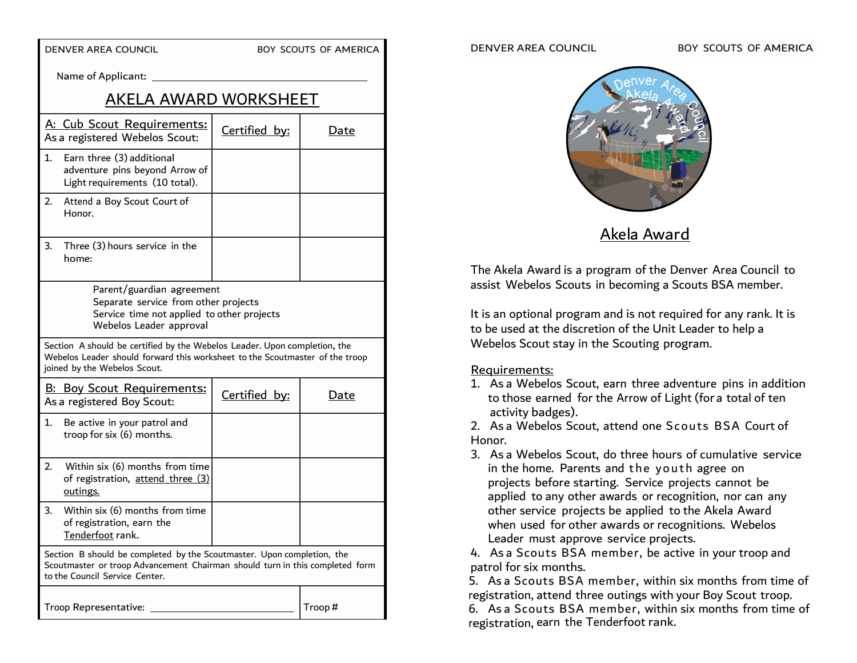DENVER AREA COUNCIL BOY SCOUTS OF AMERICA

Name of Applicant:

# AKELA AWARD WORKSHEET

| A: Cub Scout Requirements:<br>As a registered Webelos Scout:                                                                                                                              |                                                                                               | Certified by: | Date   |
|-------------------------------------------------------------------------------------------------------------------------------------------------------------------------------------------|-----------------------------------------------------------------------------------------------|---------------|--------|
| 1.                                                                                                                                                                                        | Earn three (3) additional<br>adventure pins beyond Arrow of<br>Light requirements (10 total). |               |        |
| 2.                                                                                                                                                                                        | Attend a Boy Scout Court of<br>Honor.                                                         |               |        |
| 3.                                                                                                                                                                                        | Three (3) hours service in the<br>home:                                                       |               |        |
| Parent/guardian agreement<br>Separate service from other projects<br>Service time not applied to other projects<br>Webelos Leader approval                                                |                                                                                               |               |        |
| Section A should be certified by the Webelos Leader. Upon completion, the<br>Webelos Leader should forward this worksheet to the Scoutmaster of the troop<br>joined by the Webelos Scout. |                                                                                               |               |        |
| <b>B: Boy Scout Requirements:</b><br>As a registered Boy Scout:                                                                                                                           |                                                                                               | Certified by: | Date   |
| 1.                                                                                                                                                                                        | Be active in your patrol and<br>troop for six (6) months.                                     |               |        |
| 2.                                                                                                                                                                                        | Within six (6) months from time<br>of registration, attend three (3)<br>outings.              |               |        |
| 3.                                                                                                                                                                                        | Within six (6) months from time<br>of registration, earn the<br>Tenderfoot rank.              |               |        |
| Section B should be completed by the Scoutmaster. Upon completion, the<br>Scoutmaster or troop Advancement Chairman should turn in this completed form<br>to the Council Service Center.  |                                                                                               |               |        |
| Troop Representative:                                                                                                                                                                     |                                                                                               |               | Troop# |

#### DENVER AREA COUNCIL BOY SCOUTS OF AMERICA



Akela Award

The Akela Award is a program of the Denver Area Council to assist Webelos Scouts in becoming a Scouts BSA member.

It is an optional program and is not required for any rank. It is to be used at the discretion of the Unit Leader to help a Webelos Scout stay in the Scouting program.

### Requirements:

1. As a Webelos Scout, earn three adventure pins in addition to those earned for the Arrow of Light (for a total of ten activity badges).

2. As a Webelos Scout, attend one Scouts BSA Court of Honor.

3. As a Webelos Scout, do three hours of cumulative service in the home. Parents and the youth agree on projects before starting. Service projects cannot be applied to any other awards or recognition, nor can any other service projects be applied to the Akela Award when used for other awards or recognitions. Webelos Leader must approve service projects.

4. As a Scouts BSA member, be active in your troop and patrol for six months.

5. As a Scouts BSA member, within six months from time of registration, attend three outings with your Boy Scout troop. 6. As a Scouts BSA member, within six months from time of registration, earn the Tenderfoot rank.